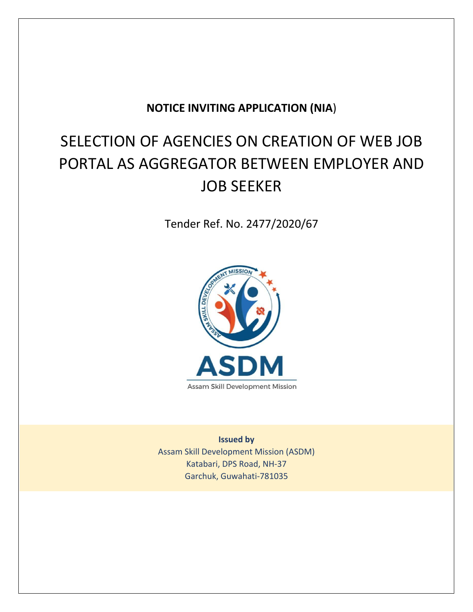# **NOTICE INVITING APPLICATION (NIA**)

# SELECTION OF AGENCIES ON CREATION OF WEB JOB PORTAL AS AGGREGATOR BETWEEN EMPLOYER AND JOB SEEKER

Tender Ref. No. 2477/2020/67



**Issued by** Assam Skill Development Mission (ASDM) Katabari, DPS Road, NH-37 Garchuk, Guwahati-781035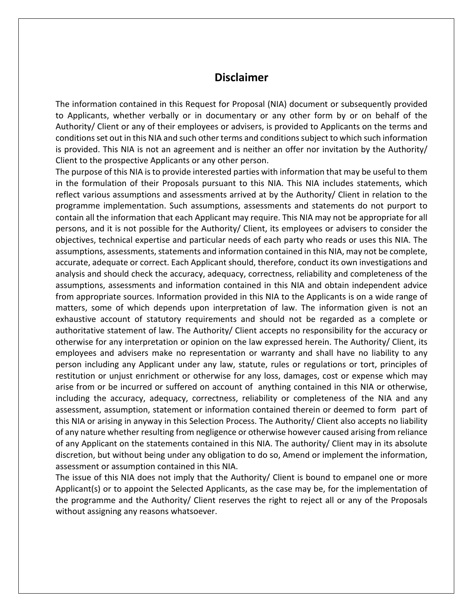# **Disclaimer**

The information contained in this Request for Proposal (NIA) document or subsequently provided to Applicants, whether verbally or in documentary or any other form by or on behalf of the Authority/ Client or any of their employees or advisers, is provided to Applicants on the terms and conditions set out in this NIA and such other terms and conditions subject to which such information is provided. This NIA is not an agreement and is neither an offer nor invitation by the Authority/ Client to the prospective Applicants or any other person.

The purpose of this NIA is to provide interested parties with information that may be useful to them in the formulation of their Proposals pursuant to this NIA. This NIA includes statements, which reflect various assumptions and assessments arrived at by the Authority/ Client in relation to the programme implementation. Such assumptions, assessments and statements do not purport to contain all the information that each Applicant may require. This NIA may not be appropriate for all persons, and it is not possible for the Authority/ Client, its employees or advisers to consider the objectives, technical expertise and particular needs of each party who reads or uses this NIA. The assumptions, assessments, statements and information contained in this NIA, may not be complete, accurate, adequate or correct. Each Applicant should, therefore, conduct its own investigations and analysis and should check the accuracy, adequacy, correctness, reliability and completeness of the assumptions, assessments and information contained in this NIA and obtain independent advice from appropriate sources. Information provided in this NIA to the Applicants is on a wide range of matters, some of which depends upon interpretation of law. The information given is not an exhaustive account of statutory requirements and should not be regarded as a complete or authoritative statement of law. The Authority/ Client accepts no responsibility for the accuracy or otherwise for any interpretation or opinion on the law expressed herein. The Authority/ Client, its employees and advisers make no representation or warranty and shall have no liability to any person including any Applicant under any law, statute, rules or regulations or tort, principles of restitution or unjust enrichment or otherwise for any loss, damages, cost or expense which may arise from or be incurred or suffered on account of anything contained in this NIA or otherwise, including the accuracy, adequacy, correctness, reliability or completeness of the NIA and any assessment, assumption, statement or information contained therein or deemed to form part of this NIA or arising in anyway in this Selection Process. The Authority/ Client also accepts no liability of any nature whether resulting from negligence or otherwise however caused arising from reliance of any Applicant on the statements contained in this NIA. The authority/ Client may in its absolute discretion, but without being under any obligation to do so, Amend or implement the information, assessment or assumption contained in this NIA.

The issue of this NIA does not imply that the Authority/ Client is bound to empanel one or more Applicant(s) or to appoint the Selected Applicants, as the case may be, for the implementation of the programme and the Authority/ Client reserves the right to reject all or any of the Proposals without assigning any reasons whatsoever.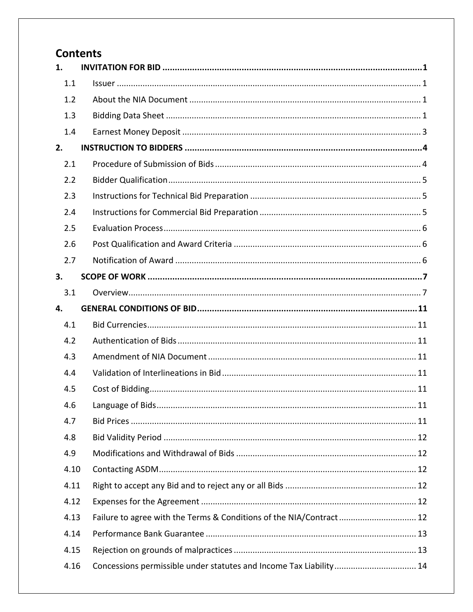# **Contents**

| 1.   |                                                                     |
|------|---------------------------------------------------------------------|
| 1.1  |                                                                     |
| 1.2  |                                                                     |
| 1.3  |                                                                     |
| 1.4  |                                                                     |
| 2.   |                                                                     |
| 2.1  |                                                                     |
| 2.2  |                                                                     |
| 2.3  |                                                                     |
| 2.4  |                                                                     |
| 2.5  |                                                                     |
| 2.6  |                                                                     |
| 2.7  |                                                                     |
| 3.   |                                                                     |
| 3.1  |                                                                     |
| 4.   |                                                                     |
| 4.1  |                                                                     |
| 4.2  |                                                                     |
| 4.3  |                                                                     |
| 4.4  |                                                                     |
| 4.5  |                                                                     |
| 4.6  |                                                                     |
| 4.7  |                                                                     |
| 4.8  |                                                                     |
| 4.9  |                                                                     |
| 4.10 |                                                                     |
| 4.11 |                                                                     |
| 4.12 |                                                                     |
| 4.13 | Failure to agree with the Terms & Conditions of the NIA/Contract 12 |
| 4.14 |                                                                     |
| 4.15 |                                                                     |
| 4.16 | Concessions permissible under statutes and Income Tax Liability 14  |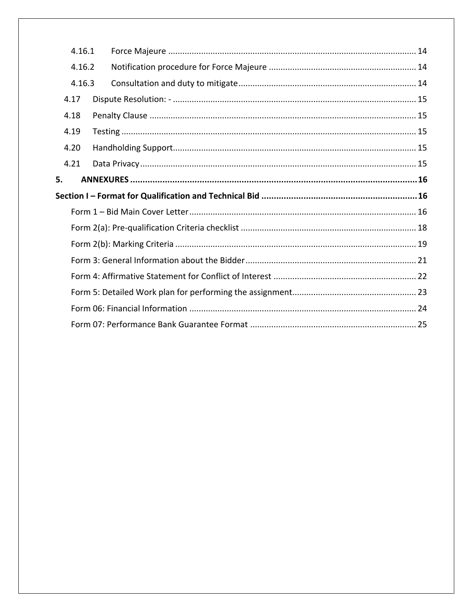| 4.16.1 |  |
|--------|--|
| 4.16.2 |  |
| 4.16.3 |  |
| 4.17   |  |
| 4.18   |  |
| 4.19   |  |
| 4.20   |  |
| 4.21   |  |
| 5.     |  |
|        |  |
|        |  |
|        |  |
|        |  |
|        |  |
|        |  |
|        |  |
|        |  |
|        |  |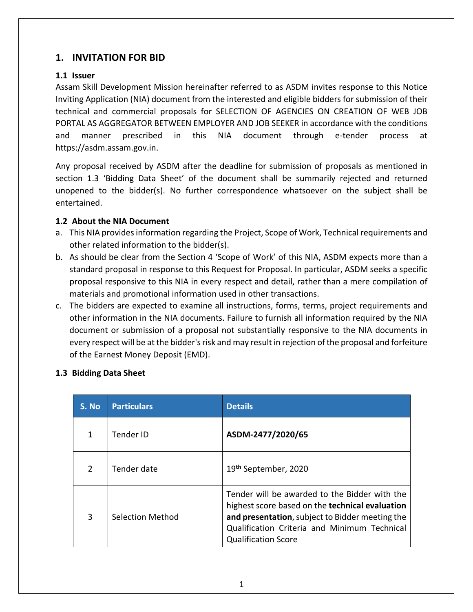# **1. INVITATION FOR BID**

#### **1.1 Issuer**

Assam Skill Development Mission hereinafter referred to as ASDM invites response to this Notice Inviting Application (NIA) document from the interested and eligible bidders for submission of their technical and commercial proposals for SELECTION OF AGENCIES ON CREATION OF WEB JOB PORTAL AS AGGREGATOR BETWEEN EMPLOYER AND JOB SEEKER in accordance with the conditions and manner prescribed in this NIA document through e-tender process at https://asdm.assam.gov.in.

Any proposal received by ASDM after the deadline for submission of proposals as mentioned in section 1.3 'Bidding Data Sheet' of the document shall be summarily rejected and returned unopened to the bidder(s). No further correspondence whatsoever on the subject shall be entertained.

#### **1.2 About the NIA Document**

- a. This NIA provides information regarding the Project, Scope of Work, Technical requirements and other related information to the bidder(s).
- b. As should be clear from the Section 4 'Scope of Work' of this NIA, ASDM expects more than a standard proposal in response to this Request for Proposal. In particular, ASDM seeks a specific proposal responsive to this NIA in every respect and detail, rather than a mere compilation of materials and promotional information used in other transactions.
- c. The bidders are expected to examine all instructions, forms, terms, project requirements and other information in the NIA documents. Failure to furnish all information required by the NIA document or submission of a proposal not substantially responsive to the NIA documents in every respect will be at the bidder's risk and may result in rejection of the proposal and forfeiture of the Earnest Money Deposit (EMD).

#### **1.3 Bidding Data Sheet**

| S. No         | <b>Particulars</b> | <b>Details</b>                                                                                                                                                                                                                    |  |
|---------------|--------------------|-----------------------------------------------------------------------------------------------------------------------------------------------------------------------------------------------------------------------------------|--|
|               | <b>Tender ID</b>   | ASDM-2477/2020/65                                                                                                                                                                                                                 |  |
| $\mathcal{P}$ | Tender date        | 19 <sup>th</sup> September, 2020                                                                                                                                                                                                  |  |
| 3             | Selection Method   | Tender will be awarded to the Bidder with the<br>highest score based on the technical evaluation<br>and presentation, subject to Bidder meeting the<br>Qualification Criteria and Minimum Technical<br><b>Qualification Score</b> |  |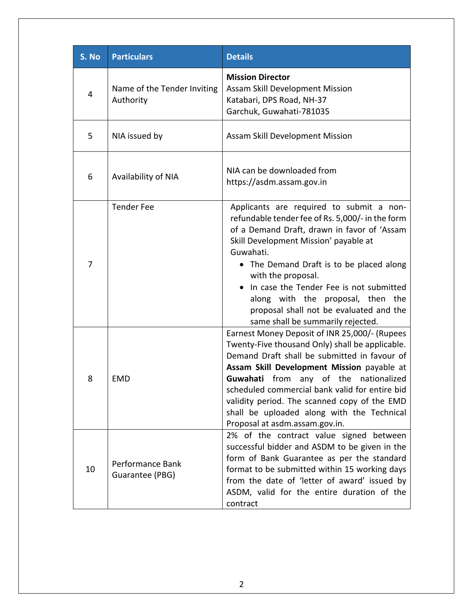| S. No | <b>Particulars</b>                       | <b>Details</b>                                                                                                                                                                                                                                                                                                                                                                                                                                                 |  |
|-------|------------------------------------------|----------------------------------------------------------------------------------------------------------------------------------------------------------------------------------------------------------------------------------------------------------------------------------------------------------------------------------------------------------------------------------------------------------------------------------------------------------------|--|
| 4     | Name of the Tender Inviting<br>Authority | <b>Mission Director</b><br>Assam Skill Development Mission<br>Katabari, DPS Road, NH-37<br>Garchuk, Guwahati-781035                                                                                                                                                                                                                                                                                                                                            |  |
| 5     | NIA issued by                            | Assam Skill Development Mission                                                                                                                                                                                                                                                                                                                                                                                                                                |  |
| 6     | Availability of NIA                      | NIA can be downloaded from<br>https://asdm.assam.gov.in                                                                                                                                                                                                                                                                                                                                                                                                        |  |
| 7     | <b>Tender Fee</b>                        | Applicants are required to submit a non-<br>refundable tender fee of Rs. 5,000/- in the form<br>of a Demand Draft, drawn in favor of 'Assam<br>Skill Development Mission' payable at<br>Guwahati.<br>• The Demand Draft is to be placed along<br>with the proposal.<br>In case the Tender Fee is not submitted<br>along with the proposal, then the<br>proposal shall not be evaluated and the                                                                 |  |
| 8     | <b>EMD</b>                               | same shall be summarily rejected.<br>Earnest Money Deposit of INR 25,000/- (Rupees<br>Twenty-Five thousand Only) shall be applicable.<br>Demand Draft shall be submitted in favour of<br>Assam Skill Development Mission payable at<br>Guwahati from any of the nationalized<br>scheduled commercial bank valid for entire bid<br>validity period. The scanned copy of the EMD<br>shall be uploaded along with the Technical<br>Proposal at asdm.assam.gov.in. |  |
| 10    | Performance Bank<br>Guarantee (PBG)      | 2% of the contract value signed between<br>successful bidder and ASDM to be given in the<br>form of Bank Guarantee as per the standard<br>format to be submitted within 15 working days<br>from the date of 'letter of award' issued by<br>ASDM, valid for the entire duration of the<br>contract                                                                                                                                                              |  |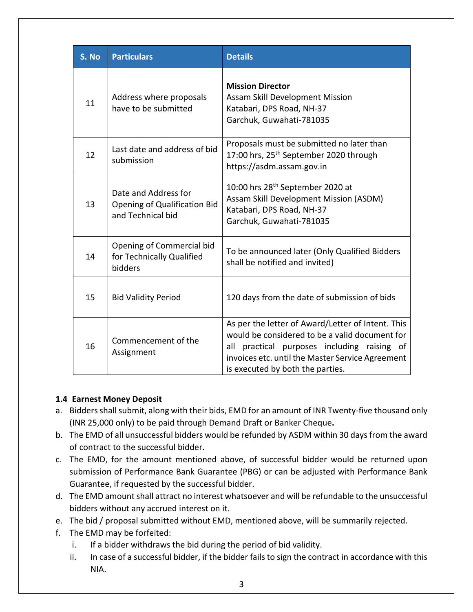| S. No | <b>Particulars</b>                                                               | <b>Details</b>                                                                                                                                                                                                                                |  |
|-------|----------------------------------------------------------------------------------|-----------------------------------------------------------------------------------------------------------------------------------------------------------------------------------------------------------------------------------------------|--|
| 11    | Address where proposals<br>have to be submitted                                  | <b>Mission Director</b><br>Assam Skill Development Mission<br>Katabari, DPS Road, NH-37<br>Garchuk, Guwahati-781035                                                                                                                           |  |
| 12    | Last date and address of bid<br>submission                                       | Proposals must be submitted no later than<br>17:00 hrs, 25 <sup>th</sup> September 2020 through<br>https://asdm.assam.gov.in                                                                                                                  |  |
| 13    | Date and Address for<br><b>Opening of Qualification Bid</b><br>and Technical bid | 10:00 hrs 28 <sup>th</sup> September 2020 at<br>Assam Skill Development Mission (ASDM)<br>Katabari, DPS Road, NH-37<br>Garchuk, Guwahati-781035                                                                                               |  |
| 14    | Opening of Commercial bid<br>for Technically Qualified<br>bidders                | To be announced later (Only Qualified Bidders<br>shall be notified and invited)                                                                                                                                                               |  |
| 15    | <b>Bid Validity Period</b>                                                       | 120 days from the date of submission of bids                                                                                                                                                                                                  |  |
| 16    | Commencement of the<br>Assignment                                                | As per the letter of Award/Letter of Intent. This<br>would be considered to be a valid document for<br>practical purposes including raising of<br>all<br>invoices etc. until the Master Service Agreement<br>is executed by both the parties. |  |

# **1.4 Earnest Money Deposit**

- a. Bidders shall submit, along with their bids, EMD for an amount of INR Twenty-five thousand only (INR 25,000 only) to be paid through Demand Draft or Banker Cheque**.**
- b. The EMD of all unsuccessful bidders would be refunded by ASDM within 30 daysfrom the award of contract to the successful bidder.
- c. The EMD, for the amount mentioned above, of successful bidder would be returned upon submission of Performance Bank Guarantee (PBG) or can be adjusted with Performance Bank Guarantee, if requested by the successful bidder.
- d. The EMD amount shall attract no interest whatsoever and will be refundable to the unsuccessful bidders without any accrued interest on it.
- e. The bid / proposal submitted without EMD, mentioned above, will be summarily rejected.
- f. The EMD may be forfeited:
	- i. If a bidder withdraws the bid during the period of bid validity.
	- ii. In case of a successful bidder, if the bidder fails to sign the contract in accordance with this NIA.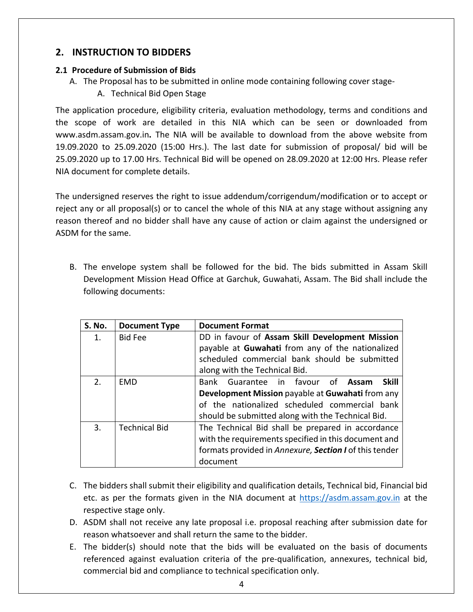# **2. INSTRUCTION TO BIDDERS**

#### **2.1 Procedure of Submission of Bids**

- A. The Proposal has to be submitted in online mode containing following cover stage-
	- A. Technical Bid Open Stage

The application procedure, eligibility criteria, evaluation methodology, terms and conditions and the scope of work are detailed in this NIA which can be seen or downloaded from www.asdm.assam.gov.in**.** The NIA will be available to download from the above website from 19.09.2020 to 25.09.2020 (15:00 Hrs.). The last date for submission of proposal/ bid will be 25.09.2020 up to 17.00 Hrs. Technical Bid will be opened on 28.09.2020 at 12:00 Hrs. Please refer NIA document for complete details.

The undersigned reserves the right to issue addendum/corrigendum/modification or to accept or reject any or all proposal(s) or to cancel the whole of this NIA at any stage without assigning any reason thereof and no bidder shall have any cause of action or claim against the undersigned or ASDM for the same.

B. The envelope system shall be followed for the bid. The bids submitted in Assam Skill Development Mission Head Office at Garchuk, Guwahati, Assam. The Bid shall include the following documents:

| <b>S. No.</b> | <b>Document Type</b> | <b>Document Format</b>                                 |  |  |
|---------------|----------------------|--------------------------------------------------------|--|--|
| $1_{-}$       | <b>Bid Fee</b>       | DD in favour of Assam Skill Development Mission        |  |  |
|               |                      | payable at Guwahati from any of the nationalized       |  |  |
|               |                      | scheduled commercial bank should be submitted          |  |  |
|               |                      | along with the Technical Bid.                          |  |  |
| 2.            | EMD                  | Bank Guarantee in favour of<br><b>Skill</b><br>Assam   |  |  |
|               |                      | Development Mission payable at Guwahati from any       |  |  |
|               |                      | of the nationalized scheduled commercial bank          |  |  |
|               |                      | should be submitted along with the Technical Bid.      |  |  |
| 3.            | <b>Technical Bid</b> | The Technical Bid shall be prepared in accordance      |  |  |
|               |                      | with the requirements specified in this document and   |  |  |
|               |                      | formats provided in Annexure, Section I of this tender |  |  |
|               |                      | document                                               |  |  |

- C. The bidders shall submit their eligibility and qualification details, Technical bid, Financial bid etc. as per the formats given in the NIA document at https://asdm.assam.gov.in at the respective stage only.
- D. ASDM shall not receive any late proposal i.e. proposal reaching after submission date for reason whatsoever and shall return the same to the bidder.
- E. The bidder(s) should note that the bids will be evaluated on the basis of documents referenced against evaluation criteria of the pre-qualification, annexures, technical bid, commercial bid and compliance to technical specification only.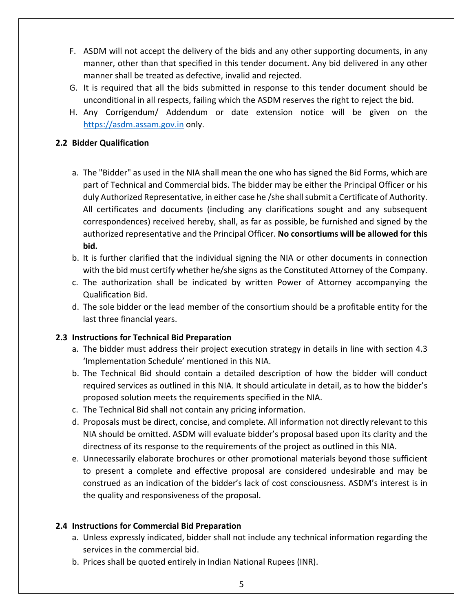- F. ASDM will not accept the delivery of the bids and any other supporting documents, in any manner, other than that specified in this tender document. Any bid delivered in any other manner shall be treated as defective, invalid and rejected.
- G. It is required that all the bids submitted in response to this tender document should be unconditional in all respects, failing which the ASDM reserves the right to reject the bid.
- H. Any Corrigendum/ Addendum or date extension notice will be given on the https://asdm.assam.gov.in only.

#### **2.2 Bidder Qualification**

- a. The "Bidder" as used in the NIA shall mean the one who has signed the Bid Forms, which are part of Technical and Commercial bids. The bidder may be either the Principal Officer or his duly Authorized Representative, in either case he /she shall submit a Certificate of Authority. All certificates and documents (including any clarifications sought and any subsequent correspondences) received hereby, shall, as far as possible, be furnished and signed by the authorized representative and the Principal Officer. **No consortiums will be allowed for this bid.**
- b. It is further clarified that the individual signing the NIA or other documents in connection with the bid must certify whether he/she signs as the Constituted Attorney of the Company.
- c. The authorization shall be indicated by written Power of Attorney accompanying the Qualification Bid.
- d. The sole bidder or the lead member of the consortium should be a profitable entity for the last three financial years.

#### **2.3 Instructions for Technical Bid Preparation**

- a. The bidder must address their project execution strategy in details in line with section 4.3 'Implementation Schedule' mentioned in this NIA.
- b. The Technical Bid should contain a detailed description of how the bidder will conduct required services as outlined in this NIA. It should articulate in detail, as to how the bidder's proposed solution meets the requirements specified in the NIA.
- c. The Technical Bid shall not contain any pricing information.
- d. Proposals must be direct, concise, and complete. All information not directly relevant to this NIA should be omitted. ASDM will evaluate bidder's proposal based upon its clarity and the directness of its response to the requirements of the project as outlined in this NIA.
- e. Unnecessarily elaborate brochures or other promotional materials beyond those sufficient to present a complete and effective proposal are considered undesirable and may be construed as an indication of the bidder's lack of cost consciousness. ASDM's interest is in the quality and responsiveness of the proposal.

#### **2.4 Instructions for Commercial Bid Preparation**

- a. Unless expressly indicated, bidder shall not include any technical information regarding the services in the commercial bid.
- b. Prices shall be quoted entirely in Indian National Rupees (INR).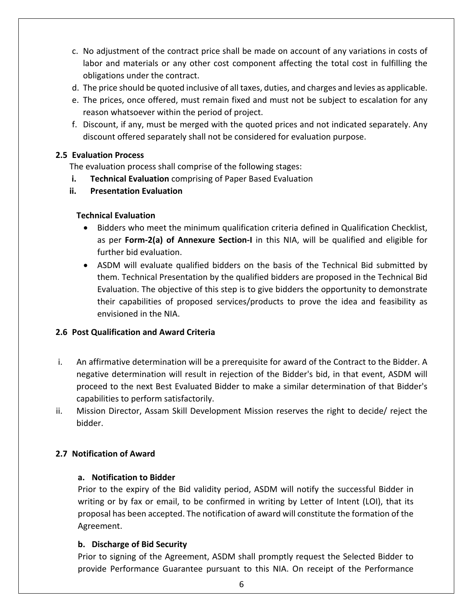- c. No adjustment of the contract price shall be made on account of any variations in costs of labor and materials or any other cost component affecting the total cost in fulfilling the obligations under the contract.
- d. The price should be quoted inclusive of all taxes, duties, and charges and levies as applicable.
- e. The prices, once offered, must remain fixed and must not be subject to escalation for any reason whatsoever within the period of project.
- f. Discount, if any, must be merged with the quoted prices and not indicated separately. Any discount offered separately shall not be considered for evaluation purpose.

#### **2.5 Evaluation Process**

The evaluation process shall comprise of the following stages:

- **i. Technical Evaluation** comprising of Paper Based Evaluation
- **ii. Presentation Evaluation**

#### **Technical Evaluation**

- Bidders who meet the minimum qualification criteria defined in Qualification Checklist, as per **Form-2(a) of Annexure Section-I** in this NIA, will be qualified and eligible for further bid evaluation.
- ASDM will evaluate qualified bidders on the basis of the Technical Bid submitted by them. Technical Presentation by the qualified bidders are proposed in the Technical Bid Evaluation. The objective of this step is to give bidders the opportunity to demonstrate their capabilities of proposed services/products to prove the idea and feasibility as envisioned in the NIA.

# **2.6 Post Qualification and Award Criteria**

- i. An affirmative determination will be a prerequisite for award of the Contract to the Bidder. A negative determination will result in rejection of the Bidder's bid, in that event, ASDM will proceed to the next Best Evaluated Bidder to make a similar determination of that Bidder's capabilities to perform satisfactorily.
- ii. Mission Director, Assam Skill Development Mission reserves the right to decide/ reject the bidder.

# **2.7 Notification of Award**

#### **a. Notification to Bidder**

Prior to the expiry of the Bid validity period, ASDM will notify the successful Bidder in writing or by fax or email, to be confirmed in writing by Letter of Intent (LOI), that its proposal has been accepted. The notification of award will constitute the formation of the Agreement.

#### **b. Discharge of Bid Security**

Prior to signing of the Agreement, ASDM shall promptly request the Selected Bidder to provide Performance Guarantee pursuant to this NIA. On receipt of the Performance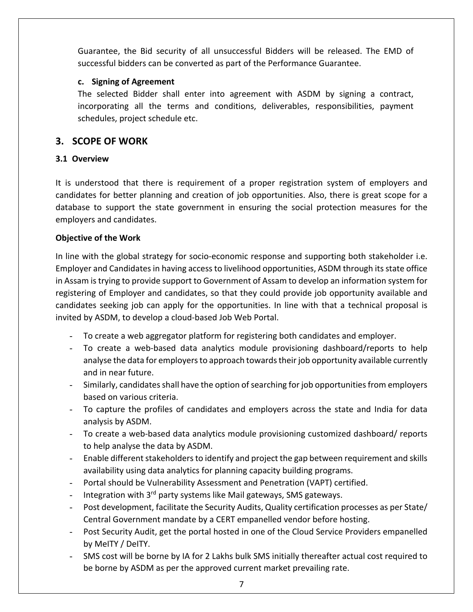Guarantee, the Bid security of all unsuccessful Bidders will be released. The EMD of successful bidders can be converted as part of the Performance Guarantee.

#### **c. Signing of Agreement**

The selected Bidder shall enter into agreement with ASDM by signing a contract, incorporating all the terms and conditions, deliverables, responsibilities, payment schedules, project schedule etc.

# **3. SCOPE OF WORK**

#### **3.1 Overview**

It is understood that there is requirement of a proper registration system of employers and candidates for better planning and creation of job opportunities. Also, there is great scope for a database to support the state government in ensuring the social protection measures for the employers and candidates.

#### **Objective of the Work**

In line with the global strategy for socio-economic response and supporting both stakeholder i.e. Employer and Candidates in having access to livelihood opportunities, ASDM through its state office in Assam is trying to provide support to Government of Assam to develop an information system for registering of Employer and candidates, so that they could provide job opportunity available and candidates seeking job can apply for the opportunities. In line with that a technical proposal is invited by ASDM, to develop a cloud-based Job Web Portal.

- To create a web aggregator platform for registering both candidates and employer.
- To create a web-based data analytics module provisioning dashboard/reports to help analyse the data for employers to approach towards their job opportunity available currently and in near future.
- Similarly, candidates shall have the option of searching for job opportunities from employers based on various criteria.
- To capture the profiles of candidates and employers across the state and India for data analysis by ASDM.
- To create a web-based data analytics module provisioning customized dashboard/ reports to help analyse the data by ASDM.
- Enable different stakeholders to identify and project the gap between requirement and skills availability using data analytics for planning capacity building programs.
- Portal should be Vulnerability Assessment and Penetration (VAPT) certified.
- Integration with 3<sup>rd</sup> party systems like Mail gateways, SMS gateways.
- Post development, facilitate the Security Audits, Quality certification processes as per State/ Central Government mandate by a CERT empanelled vendor before hosting.
- Post Security Audit, get the portal hosted in one of the Cloud Service Providers empanelled by MeITY / DeITY.
- SMS cost will be borne by IA for 2 Lakhs bulk SMS initially thereafter actual cost required to be borne by ASDM as per the approved current market prevailing rate.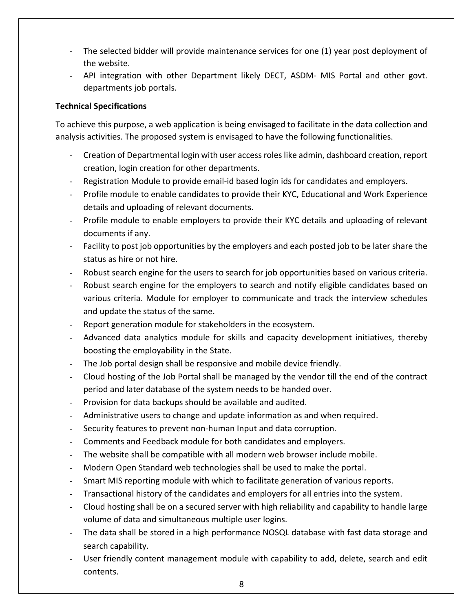- The selected bidder will provide maintenance services for one (1) year post deployment of the website.
- API integration with other Department likely DECT, ASDM- MIS Portal and other govt. departments job portals.

#### **Technical Specifications**

To achieve this purpose, a web application is being envisaged to facilitate in the data collection and analysis activities. The proposed system is envisaged to have the following functionalities.

- Creation of Departmental login with user access roles like admin, dashboard creation, report creation, login creation for other departments.
- Registration Module to provide email-id based login ids for candidates and employers.
- Profile module to enable candidates to provide their KYC, Educational and Work Experience details and uploading of relevant documents.
- Profile module to enable employers to provide their KYC details and uploading of relevant documents if any.
- Facility to post job opportunities by the employers and each posted job to be later share the status as hire or not hire.
- Robust search engine for the users to search for job opportunities based on various criteria.
- Robust search engine for the employers to search and notify eligible candidates based on various criteria. Module for employer to communicate and track the interview schedules and update the status of the same.
- Report generation module for stakeholders in the ecosystem.
- Advanced data analytics module for skills and capacity development initiatives, thereby boosting the employability in the State.
- The Job portal design shall be responsive and mobile device friendly.
- Cloud hosting of the Job Portal shall be managed by the vendor till the end of the contract period and later database of the system needs to be handed over.
- Provision for data backups should be available and audited.
- Administrative users to change and update information as and when required.
- Security features to prevent non-human Input and data corruption.
- Comments and Feedback module for both candidates and employers.
- The website shall be compatible with all modern web browser include mobile.
- Modern Open Standard web technologies shall be used to make the portal.
- Smart MIS reporting module with which to facilitate generation of various reports.
- Transactional history of the candidates and employers for all entries into the system.
- Cloud hosting shall be on a secured server with high reliability and capability to handle large volume of data and simultaneous multiple user logins.
- The data shall be stored in a high performance NOSQL database with fast data storage and search capability.
- User friendly content management module with capability to add, delete, search and edit contents.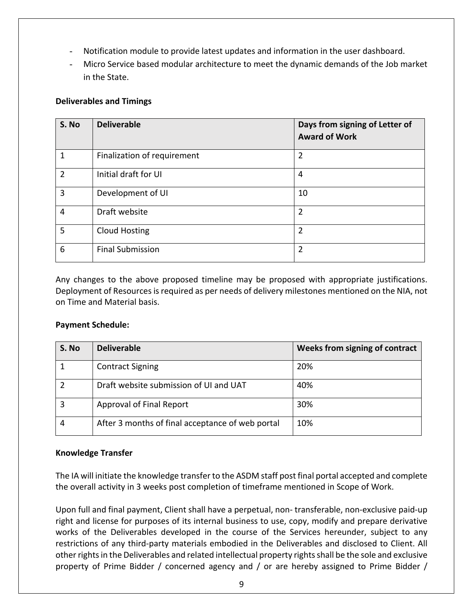- Notification module to provide latest updates and information in the user dashboard.
- Micro Service based modular architecture to meet the dynamic demands of the Job market in the State.

#### **Deliverables and Timings**

| S. No          | <b>Deliverable</b>          | Days from signing of Letter of<br><b>Award of Work</b> |
|----------------|-----------------------------|--------------------------------------------------------|
| 1              | Finalization of requirement | $\overline{2}$                                         |
| $\overline{2}$ | Initial draft for UI        | 4                                                      |
| 3              | Development of UI           | 10                                                     |
| 4              | Draft website               | $\overline{2}$                                         |
| 5              | <b>Cloud Hosting</b>        | $\overline{2}$                                         |
| 6              | <b>Final Submission</b>     | $\overline{2}$                                         |

Any changes to the above proposed timeline may be proposed with appropriate justifications. Deployment of Resources is required as per needs of delivery milestones mentioned on the NIA, not on Time and Material basis.

#### **Payment Schedule:**

| S. No | <b>Deliverable</b>                               | Weeks from signing of contract |
|-------|--------------------------------------------------|--------------------------------|
|       | <b>Contract Signing</b>                          | 20%                            |
|       | Draft website submission of UI and UAT           | 40%                            |
| 3     | Approval of Final Report                         | 30%                            |
|       | After 3 months of final acceptance of web portal | 10%                            |

#### **Knowledge Transfer**

The IA will initiate the knowledge transfer to the ASDM staff post final portal accepted and complete the overall activity in 3 weeks post completion of timeframe mentioned in Scope of Work.

Upon full and final payment, Client shall have a perpetual, non- transferable, non-exclusive paid-up right and license for purposes of its internal business to use, copy, modify and prepare derivative works of the Deliverables developed in the course of the Services hereunder, subject to any restrictions of any third-party materials embodied in the Deliverables and disclosed to Client. All other rights in the Deliverables and related intellectual property rights shall be the sole and exclusive property of Prime Bidder / concerned agency and / or are hereby assigned to Prime Bidder /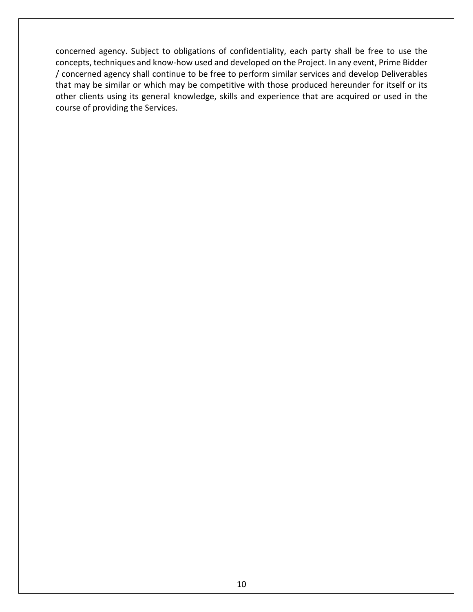concerned agency. Subject to obligations of confidentiality, each party shall be free to use the concepts, techniques and know-how used and developed on the Project. In any event, Prime Bidder / concerned agency shall continue to be free to perform similar services and develop Deliverables that may be similar or which may be competitive with those produced hereunder for itself or its other clients using its general knowledge, skills and experience that are acquired or used in the course of providing the Services.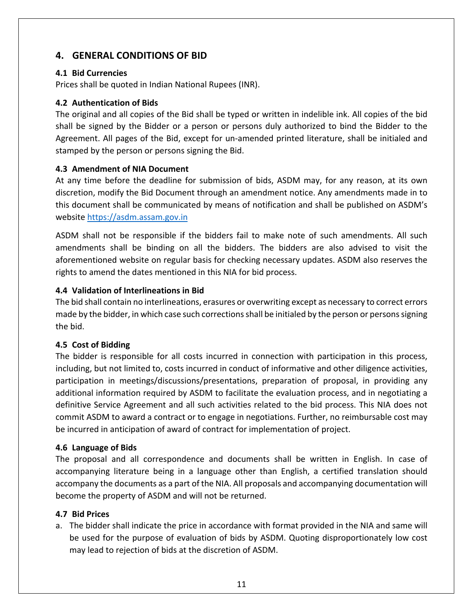# **4. GENERAL CONDITIONS OF BID**

#### **4.1 Bid Currencies**

Prices shall be quoted in Indian National Rupees (INR).

#### **4.2 Authentication of Bids**

The original and all copies of the Bid shall be typed or written in indelible ink. All copies of the bid shall be signed by the Bidder or a person or persons duly authorized to bind the Bidder to the Agreement. All pages of the Bid, except for un-amended printed literature, shall be initialed and stamped by the person or persons signing the Bid.

#### **4.3 Amendment of NIA Document**

At any time before the deadline for submission of bids, ASDM may, for any reason, at its own discretion, modify the Bid Document through an amendment notice. Any amendments made in to this document shall be communicated by means of notification and shall be published on ASDM's website https://asdm.assam.gov.in

ASDM shall not be responsible if the bidders fail to make note of such amendments. All such amendments shall be binding on all the bidders. The bidders are also advised to visit the aforementioned website on regular basis for checking necessary updates. ASDM also reserves the rights to amend the dates mentioned in this NIA for bid process.

#### **4.4 Validation of Interlineations in Bid**

The bid shall contain no interlineations, erasures or overwriting except as necessary to correct errors made by the bidder, in which case such corrections shall be initialed by the person or persons signing the bid.

#### **4.5 Cost of Bidding**

The bidder is responsible for all costs incurred in connection with participation in this process, including, but not limited to, costs incurred in conduct of informative and other diligence activities, participation in meetings/discussions/presentations, preparation of proposal, in providing any additional information required by ASDM to facilitate the evaluation process, and in negotiating a definitive Service Agreement and all such activities related to the bid process. This NIA does not commit ASDM to award a contract or to engage in negotiations. Further, no reimbursable cost may be incurred in anticipation of award of contract for implementation of project.

#### **4.6 Language of Bids**

The proposal and all correspondence and documents shall be written in English. In case of accompanying literature being in a language other than English, a certified translation should accompany the documents as a part of the NIA. All proposals and accompanying documentation will become the property of ASDM and will not be returned.

#### **4.7 Bid Prices**

a. The bidder shall indicate the price in accordance with format provided in the NIA and same will be used for the purpose of evaluation of bids by ASDM. Quoting disproportionately low cost may lead to rejection of bids at the discretion of ASDM.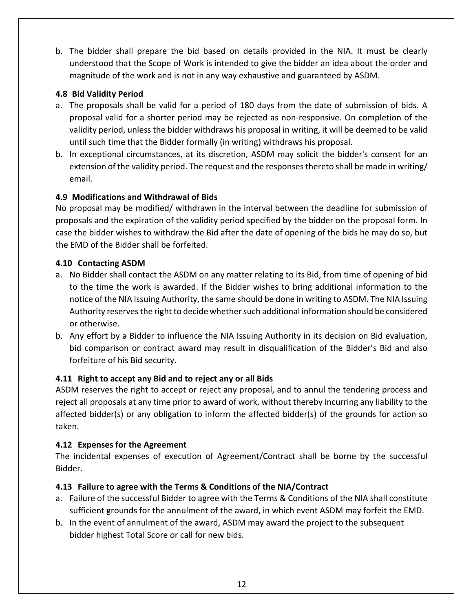b. The bidder shall prepare the bid based on details provided in the NIA. It must be clearly understood that the Scope of Work is intended to give the bidder an idea about the order and magnitude of the work and is not in any way exhaustive and guaranteed by ASDM.

#### **4.8 Bid Validity Period**

- a. The proposals shall be valid for a period of 180 days from the date of submission of bids. A proposal valid for a shorter period may be rejected as non-responsive. On completion of the validity period, unless the bidder withdraws his proposal in writing, it will be deemed to be valid until such time that the Bidder formally (in writing) withdraws his proposal.
- b. In exceptional circumstances, at its discretion, ASDM may solicit the bidder's consent for an extension of the validity period. The request and the responses thereto shall be made in writing/ email.

#### **4.9 Modifications and Withdrawal of Bids**

No proposal may be modified/ withdrawn in the interval between the deadline for submission of proposals and the expiration of the validity period specified by the bidder on the proposal form. In case the bidder wishes to withdraw the Bid after the date of opening of the bids he may do so, but the EMD of the Bidder shall be forfeited.

#### **4.10 Contacting ASDM**

- a. No Bidder shall contact the ASDM on any matter relating to its Bid, from time of opening of bid to the time the work is awarded. If the Bidder wishes to bring additional information to the notice of the NIA Issuing Authority, the same should be done in writing to ASDM. The NIA Issuing Authority reserves the right to decide whether such additional information should be considered or otherwise.
- b. Any effort by a Bidder to influence the NIA Issuing Authority in its decision on Bid evaluation, bid comparison or contract award may result in disqualification of the Bidder's Bid and also forfeiture of his Bid security.

# **4.11 Right to accept any Bid and to reject any or all Bids**

ASDM reserves the right to accept or reject any proposal, and to annul the tendering process and reject all proposals at any time prior to award of work, without thereby incurring any liability to the affected bidder(s) or any obligation to inform the affected bidder(s) of the grounds for action so taken.

#### **4.12 Expenses for the Agreement**

The incidental expenses of execution of Agreement/Contract shall be borne by the successful Bidder.

# **4.13 Failure to agree with the Terms & Conditions of the NIA/Contract**

- a. Failure of the successful Bidder to agree with the Terms & Conditions of the NIA shall constitute sufficient grounds for the annulment of the award, in which event ASDM may forfeit the EMD.
- b. In the event of annulment of the award, ASDM may award the project to the subsequent bidder highest Total Score or call for new bids.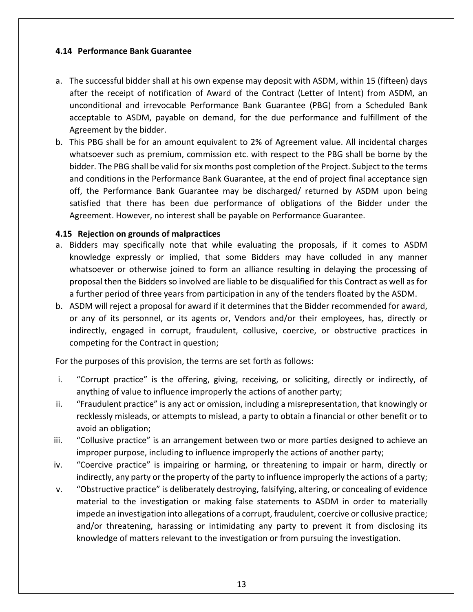#### **4.14 Performance Bank Guarantee**

- a. The successful bidder shall at his own expense may deposit with ASDM, within 15 (fifteen) days after the receipt of notification of Award of the Contract (Letter of Intent) from ASDM, an unconditional and irrevocable Performance Bank Guarantee (PBG) from a Scheduled Bank acceptable to ASDM, payable on demand, for the due performance and fulfillment of the Agreement by the bidder.
- b. This PBG shall be for an amount equivalent to 2% of Agreement value. All incidental charges whatsoever such as premium, commission etc. with respect to the PBG shall be borne by the bidder. The PBG shall be valid for six months post completion of the Project. Subject to the terms and conditions in the Performance Bank Guarantee, at the end of project final acceptance sign off, the Performance Bank Guarantee may be discharged/ returned by ASDM upon being satisfied that there has been due performance of obligations of the Bidder under the Agreement. However, no interest shall be payable on Performance Guarantee.

#### **4.15 Rejection on grounds of malpractices**

- a. Bidders may specifically note that while evaluating the proposals, if it comes to ASDM knowledge expressly or implied, that some Bidders may have colluded in any manner whatsoever or otherwise joined to form an alliance resulting in delaying the processing of proposal then the Bidders so involved are liable to be disqualified for this Contract as well as for a further period of three years from participation in any of the tenders floated by the ASDM.
- b. ASDM will reject a proposal for award if it determines that the Bidder recommended for award, or any of its personnel, or its agents or, Vendors and/or their employees, has, directly or indirectly, engaged in corrupt, fraudulent, collusive, coercive, or obstructive practices in competing for the Contract in question;

For the purposes of this provision, the terms are set forth as follows:

- i. "Corrupt practice" is the offering, giving, receiving, or soliciting, directly or indirectly, of anything of value to influence improperly the actions of another party;
- ii. "Fraudulent practice" is any act or omission, including a misrepresentation, that knowingly or recklessly misleads, or attempts to mislead, a party to obtain a financial or other benefit or to avoid an obligation;
- iii. "Collusive practice" is an arrangement between two or more parties designed to achieve an improper purpose, including to influence improperly the actions of another party;
- iv. "Coercive practice" is impairing or harming, or threatening to impair or harm, directly or indirectly, any party or the property of the party to influence improperly the actions of a party;
- v. "Obstructive practice" is deliberately destroying, falsifying, altering, or concealing of evidence material to the investigation or making false statements to ASDM in order to materially impede an investigation into allegations of a corrupt, fraudulent, coercive or collusive practice; and/or threatening, harassing or intimidating any party to prevent it from disclosing its knowledge of matters relevant to the investigation or from pursuing the investigation.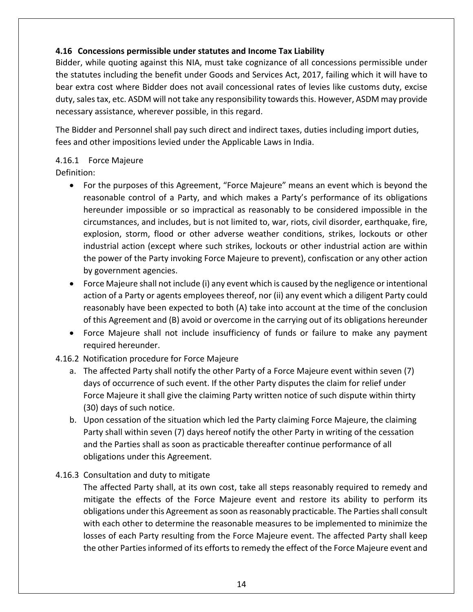### **4.16 Concessions permissible under statutes and Income Tax Liability**

Bidder, while quoting against this NIA, must take cognizance of all concessions permissible under the statutes including the benefit under Goods and Services Act, 2017, failing which it will have to bear extra cost where Bidder does not avail concessional rates of levies like customs duty, excise duty, sales tax, etc. ASDM will not take any responsibility towards this. However, ASDM may provide necessary assistance, wherever possible, in this regard.

The Bidder and Personnel shall pay such direct and indirect taxes, duties including import duties, fees and other impositions levied under the Applicable Laws in India.

#### 4.16.1 Force Majeure

Definition:

- For the purposes of this Agreement, "Force Majeure" means an event which is beyond the reasonable control of a Party, and which makes a Party's performance of its obligations hereunder impossible or so impractical as reasonably to be considered impossible in the circumstances, and includes, but is not limited to, war, riots, civil disorder, earthquake, fire, explosion, storm, flood or other adverse weather conditions, strikes, lockouts or other industrial action (except where such strikes, lockouts or other industrial action are within the power of the Party invoking Force Majeure to prevent), confiscation or any other action by government agencies.
- Force Majeure shall not include (i) any event which is caused by the negligence or intentional action of a Party or agents employees thereof, nor (ii) any event which a diligent Party could reasonably have been expected to both (A) take into account at the time of the conclusion of this Agreement and (B) avoid or overcome in the carrying out of its obligations hereunder
- Force Majeure shall not include insufficiency of funds or failure to make any payment required hereunder.
- 4.16.2 Notification procedure for Force Majeure
	- a. The affected Party shall notify the other Party of a Force Majeure event within seven (7) days of occurrence of such event. If the other Party disputes the claim for relief under Force Majeure it shall give the claiming Party written notice of such dispute within thirty (30) days of such notice.
	- b. Upon cessation of the situation which led the Party claiming Force Majeure, the claiming Party shall within seven (7) days hereof notify the other Party in writing of the cessation and the Parties shall as soon as practicable thereafter continue performance of all obligations under this Agreement.

#### 4.16.3 Consultation and duty to mitigate

The affected Party shall, at its own cost, take all steps reasonably required to remedy and mitigate the effects of the Force Majeure event and restore its ability to perform its obligations under this Agreement as soon as reasonably practicable. The Parties shall consult with each other to determine the reasonable measures to be implemented to minimize the losses of each Party resulting from the Force Majeure event. The affected Party shall keep the other Parties informed of its efforts to remedy the effect of the Force Majeure event and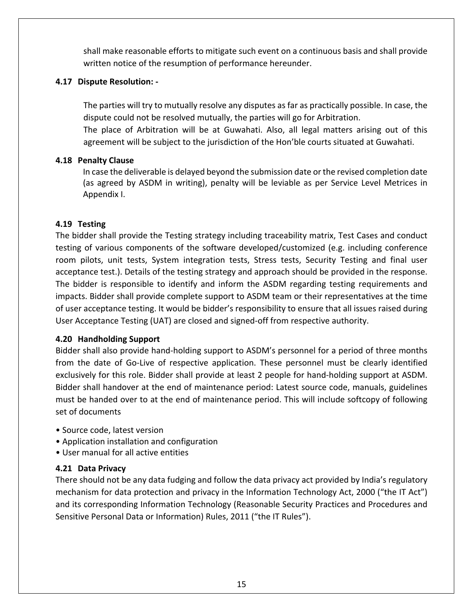shall make reasonable efforts to mitigate such event on a continuous basis and shall provide written notice of the resumption of performance hereunder.

#### **4.17 Dispute Resolution: -**

The parties will try to mutually resolve any disputes as far as practically possible. In case, the dispute could not be resolved mutually, the parties will go for Arbitration. The place of Arbitration will be at Guwahati. Also, all legal matters arising out of this agreement will be subject to the jurisdiction of the Hon'ble courts situated at Guwahati.

#### **4.18 Penalty Clause**

In case the deliverable is delayed beyond the submission date or the revised completion date (as agreed by ASDM in writing), penalty will be leviable as per Service Level Metrices in Appendix I.

#### **4.19 Testing**

The bidder shall provide the Testing strategy including traceability matrix, Test Cases and conduct testing of various components of the software developed/customized (e.g. including conference room pilots, unit tests, System integration tests, Stress tests, Security Testing and final user acceptance test.). Details of the testing strategy and approach should be provided in the response. The bidder is responsible to identify and inform the ASDM regarding testing requirements and impacts. Bidder shall provide complete support to ASDM team or their representatives at the time of user acceptance testing. It would be bidder's responsibility to ensure that all issues raised during User Acceptance Testing (UAT) are closed and signed-off from respective authority.

#### **4.20 Handholding Support**

Bidder shall also provide hand-holding support to ASDM's personnel for a period of three months from the date of Go-Live of respective application. These personnel must be clearly identified exclusively for this role. Bidder shall provide at least 2 people for hand-holding support at ASDM. Bidder shall handover at the end of maintenance period: Latest source code, manuals, guidelines must be handed over to at the end of maintenance period. This will include softcopy of following set of documents

- Source code, latest version
- Application installation and configuration
- User manual for all active entities

#### **4.21 Data Privacy**

There should not be any data fudging and follow the data privacy act provided by India's regulatory mechanism for data protection and privacy in the Information Technology Act, 2000 ("the IT Act") and its corresponding Information Technology (Reasonable Security Practices and Procedures and Sensitive Personal Data or Information) Rules, 2011 ("the IT Rules").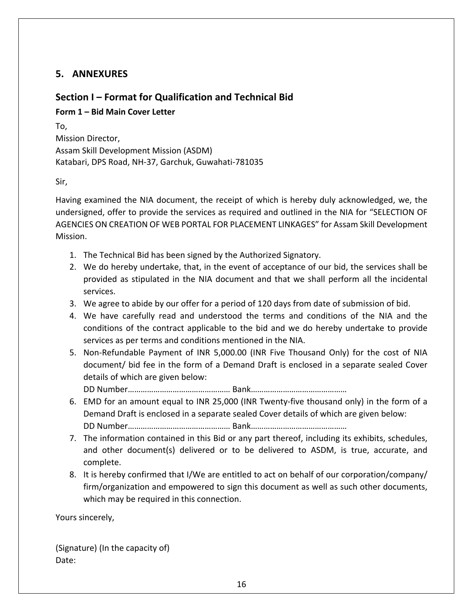# **5. ANNEXURES**

# **Section I – Format for Qualification and Technical Bid**

# **Form 1 – Bid Main Cover Letter**

To, Mission Director, Assam Skill Development Mission (ASDM) Katabari, DPS Road, NH-37, Garchuk, Guwahati-781035

Sir,

Having examined the NIA document, the receipt of which is hereby duly acknowledged, we, the undersigned, offer to provide the services as required and outlined in the NIA for "SELECTION OF AGENCIES ON CREATION OF WEB PORTAL FOR PLACEMENT LINKAGES" for Assam Skill Development Mission.

- 1. The Technical Bid has been signed by the Authorized Signatory.
- 2. We do hereby undertake, that, in the event of acceptance of our bid, the services shall be provided as stipulated in the NIA document and that we shall perform all the incidental services.
- 3. We agree to abide by our offer for a period of 120 days from date of submission of bid.
- 4. We have carefully read and understood the terms and conditions of the NIA and the conditions of the contract applicable to the bid and we do hereby undertake to provide services as per terms and conditions mentioned in the NIA.
- 5. Non-Refundable Payment of INR 5,000.00 (INR Five Thousand Only) for the cost of NIA document/ bid fee in the form of a Demand Draft is enclosed in a separate sealed Cover details of which are given below:

DD Number………………………………………… Bank………………………………………

- 6. EMD for an amount equal to INR 25,000 (INR Twenty-five thousand only) in the form of a Demand Draft is enclosed in a separate sealed Cover details of which are given below: DD Number………………………………………… Bank………………………………………
- 7. The information contained in this Bid or any part thereof, including its exhibits, schedules, and other document(s) delivered or to be delivered to ASDM, is true, accurate, and complete.
- 8. It is hereby confirmed that I/We are entitled to act on behalf of our corporation/company/ firm/organization and empowered to sign this document as well as such other documents, which may be required in this connection.

Yours sincerely,

(Signature) (In the capacity of) Date: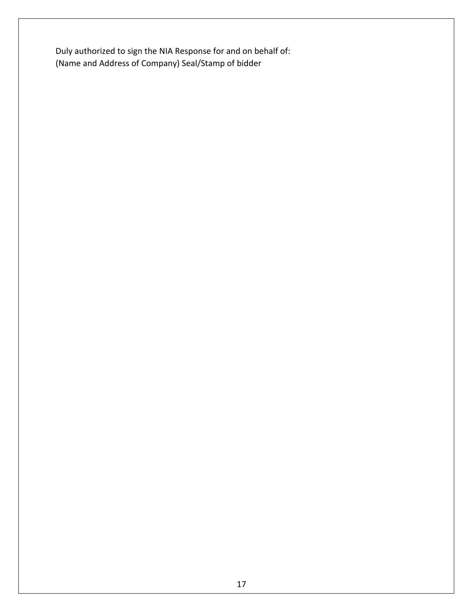Duly authorized to sign the NIA Response for and on behalf of: (Name and Address of Company) Seal/Stamp of bidder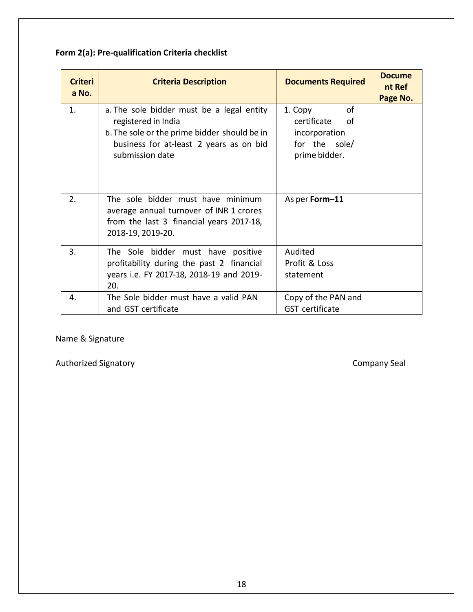# **Form 2(a): Pre-qualification Criteria checklist**

| <b>Criteri</b><br>a No. | <b>Criteria Description</b>                                                                                                                                                    | <b>Documents Required</b>                                                          | <b>Docume</b><br>nt Ref<br>Page No. |
|-------------------------|--------------------------------------------------------------------------------------------------------------------------------------------------------------------------------|------------------------------------------------------------------------------------|-------------------------------------|
| 1.                      | a. The sole bidder must be a legal entity<br>registered in India<br>b. The sole or the prime bidder should be in<br>business for at-least 2 years as on bid<br>submission date | 1. Copy<br>0f<br>certificate of<br>incorporation<br>for the sole/<br>prime bidder. |                                     |
| 2.                      | The sole bidder must have minimum<br>average annual turnover of INR 1 crores<br>from the last 3 financial years 2017-18,<br>2018-19, 2019-20.                                  | As per Form-11                                                                     |                                     |
| 3.                      | The Sole bidder must have positive<br>profitability during the past 2 financial<br>years i.e. FY 2017-18, 2018-19 and 2019-<br>20.                                             | Audited<br>Profit & Loss<br>statement                                              |                                     |
| 4.                      | The Sole bidder must have a valid PAN<br>and GST certificate                                                                                                                   | Copy of the PAN and<br><b>GST</b> certificate                                      |                                     |

Name & Signature

Authorized Signatory **Company Seal**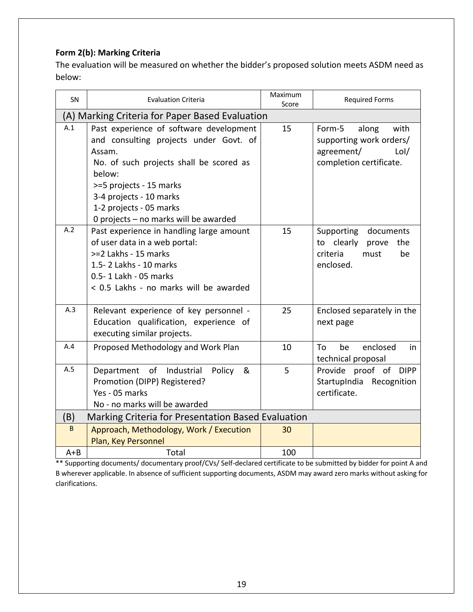# **Form 2(b): Marking Criteria**

The evaluation will be measured on whether the bidder's proposed solution meets ASDM need as below:

| SN      | <b>Evaluation Criteria</b>                                                                                                                                                                                                                                                 | Maximum<br>Score | <b>Required Forms</b>                                                                               |  |  |
|---------|----------------------------------------------------------------------------------------------------------------------------------------------------------------------------------------------------------------------------------------------------------------------------|------------------|-----------------------------------------------------------------------------------------------------|--|--|
|         | (A) Marking Criteria for Paper Based Evaluation                                                                                                                                                                                                                            |                  |                                                                                                     |  |  |
| A.1     | Past experience of software development<br>and consulting projects under Govt. of<br>Assam.<br>No. of such projects shall be scored as<br>below:<br>>=5 projects - 15 marks<br>3-4 projects - 10 marks<br>1-2 projects - 05 marks<br>0 projects - no marks will be awarded | 15               | with<br>Form-5<br>along<br>supporting work orders/<br>agreement/<br>Lol/<br>completion certificate. |  |  |
| A.2     | Past experience in handling large amount<br>of user data in a web portal:<br>>=2 Lakhs - 15 marks<br>1.5-2 Lakhs - 10 marks<br>0.5-1 Lakh - 05 marks<br>< 0.5 Lakhs - no marks will be awarded                                                                             | 15               | Supporting documents<br>to clearly prove<br>the<br>criteria<br>must<br>be<br>enclosed.              |  |  |
| A.3     | Relevant experience of key personnel -<br>Education qualification, experience of<br>executing similar projects.                                                                                                                                                            | 25               | Enclosed separately in the<br>next page                                                             |  |  |
| A.4     | Proposed Methodology and Work Plan                                                                                                                                                                                                                                         | 10               | enclosed<br>To<br>be<br>in<br>technical proposal                                                    |  |  |
| A.5     | Department of Industrial<br>Policy &<br>Promotion (DIPP) Registered?<br>Yes - 05 marks<br>No - no marks will be awarded                                                                                                                                                    | 5                | Provide proof of DIPP<br>StartupIndia Recognition<br>certificate.                                   |  |  |
| (B)     | Marking Criteria for Presentation Based Evaluation                                                                                                                                                                                                                         |                  |                                                                                                     |  |  |
| B       | Approach, Methodology, Work / Execution<br>Plan, Key Personnel                                                                                                                                                                                                             | 30               |                                                                                                     |  |  |
| $A + B$ | Total                                                                                                                                                                                                                                                                      | 100              |                                                                                                     |  |  |

\*\* Supporting documents/ documentary proof/CVs/ Self-declared certificate to be submitted by bidder for point A and B wherever applicable. In absence of sufficient supporting documents, ASDM may award zero marks without asking for clarifications.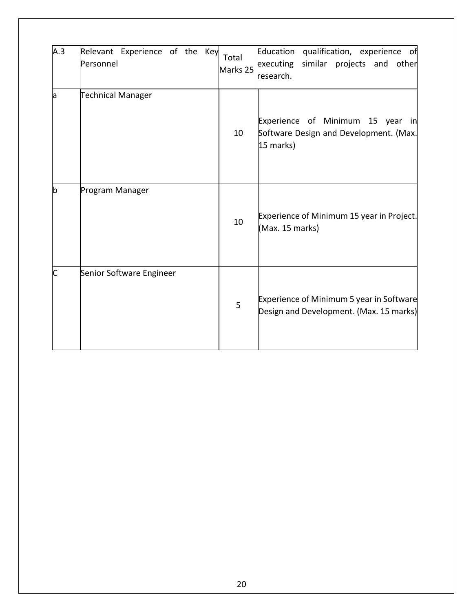| A.3 | Relevant Experience of the Key<br>Personnel | Total<br>Marks 25 | Education<br>qualification, experience of<br>similar projects and other<br>executing<br>research. |
|-----|---------------------------------------------|-------------------|---------------------------------------------------------------------------------------------------|
| la  | <b>Technical Manager</b>                    | 10                | Experience of Minimum 15 year in<br>Software Design and Development. (Max.<br>15 marks)           |
| b   | Program Manager                             | 10                | Experience of Minimum 15 year in Project.<br>(Max. 15 marks)                                      |
| C   | Senior Software Engineer                    | 5                 | Experience of Minimum 5 year in Software<br>Design and Development. (Max. 15 marks)               |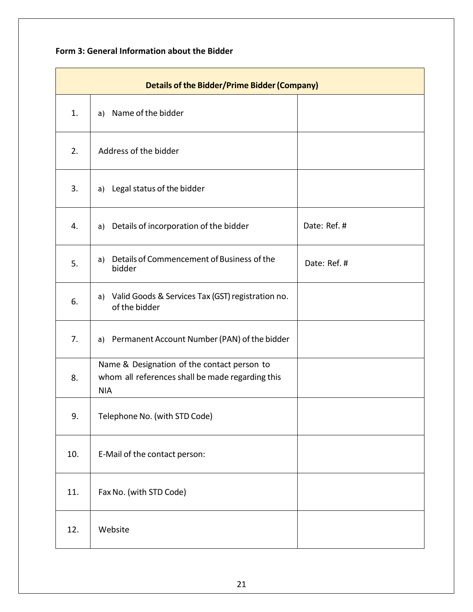# **Form 3: General Information about the Bidder**

| <b>Details of the Bidder/Prime Bidder (Company)</b> |                                                                                                               |              |  |
|-----------------------------------------------------|---------------------------------------------------------------------------------------------------------------|--------------|--|
| 1.                                                  | a) Name of the bidder                                                                                         |              |  |
| 2.                                                  | Address of the bidder                                                                                         |              |  |
| 3.                                                  | a) Legal status of the bidder                                                                                 |              |  |
| 4.                                                  | a) Details of incorporation of the bidder                                                                     | Date: Ref. # |  |
| 5.                                                  | Details of Commencement of Business of the<br>a)<br>bidder                                                    | Date: Ref. # |  |
| 6.                                                  | Valid Goods & Services Tax (GST) registration no.<br>a)<br>of the bidder                                      |              |  |
| 7.                                                  | a) Permanent Account Number (PAN) of the bidder                                                               |              |  |
| 8.                                                  | Name & Designation of the contact person to<br>whom all references shall be made regarding this<br><b>NIA</b> |              |  |
| 9.                                                  | Telephone No. (with STD Code)                                                                                 |              |  |
| 10.                                                 | E-Mail of the contact person:                                                                                 |              |  |
| 11.                                                 | Fax No. (with STD Code)                                                                                       |              |  |
| 12.                                                 | Website                                                                                                       |              |  |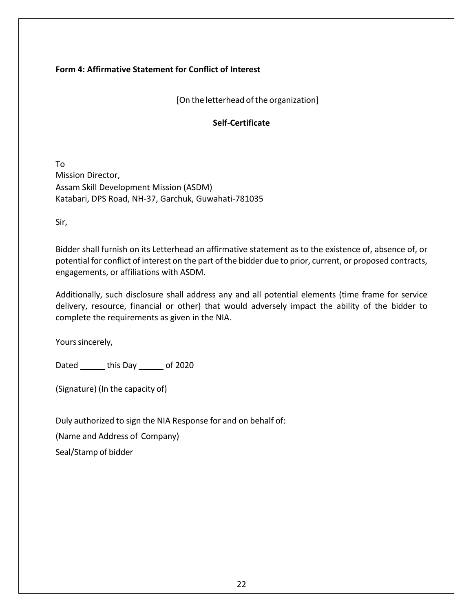#### **Form 4: Affirmative Statement for Conflict of Interest**

[On the letterhead of the organization]

#### **Self-Certificate**

To Mission Director, Assam Skill Development Mission (ASDM) Katabari, DPS Road, NH-37, Garchuk, Guwahati-781035

Sir,

Bidder shall furnish on its Letterhead an affirmative statement as to the existence of, absence of, or potential for conflict of interest on the part of the bidder due to prior, current, or proposed contracts, engagements, or affiliations with ASDM.

Additionally, such disclosure shall address any and all potential elements (time frame for service delivery, resource, financial or other) that would adversely impact the ability of the bidder to complete the requirements as given in the NIA.

Yours sincerely,

Dated \_\_\_\_\_\_ this Day \_\_\_\_\_\_ of 2020

(Signature) (In the capacity of)

Duly authorized to sign the NIA Response for and on behalf of:

(Name and Address of Company)

Seal/Stamp of bidder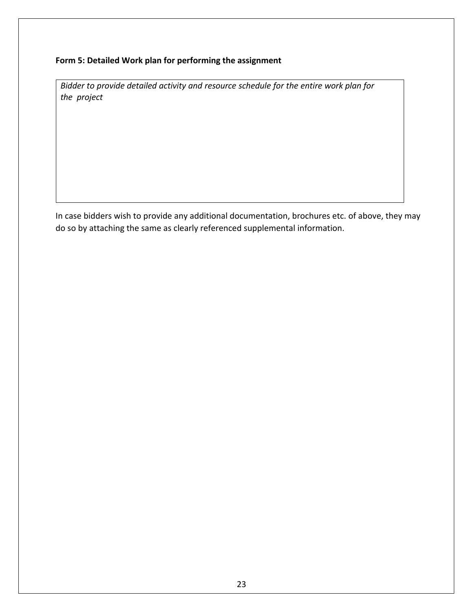#### **Form 5: Detailed Work plan for performing the assignment**

*Bidder to provide detailed activity and resource schedule for the entire work plan for the project*

In case bidders wish to provide any additional documentation, brochures etc. of above, they may do so by attaching the same as clearly referenced supplemental information.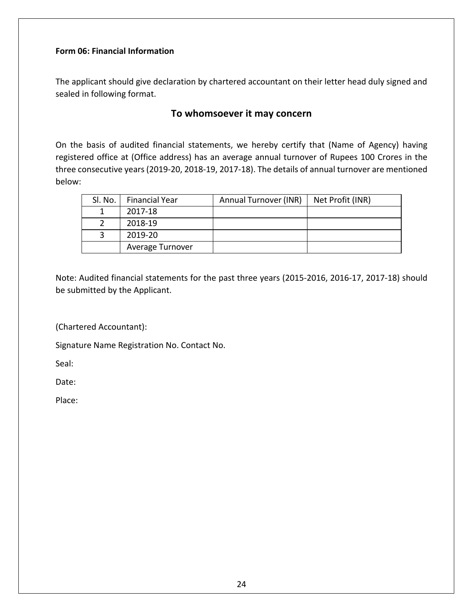#### **Form 06: Financial Information**

The applicant should give declaration by chartered accountant on their letter head duly signed and sealed in following format.

# **To whomsoever it may concern**

On the basis of audited financial statements, we hereby certify that (Name of Agency) having registered office at (Office address) has an average annual turnover of Rupees 100 Crores in the three consecutive years (2019-20, 2018-19, 2017-18). The details of annual turnover are mentioned below:

| SI. No. | <b>Financial Year</b> | Annual Turnover (INR) | Net Profit (INR) |
|---------|-----------------------|-----------------------|------------------|
|         | 2017-18               |                       |                  |
|         | 2018-19               |                       |                  |
|         | 2019-20               |                       |                  |
|         | Average Turnover      |                       |                  |

Note: Audited financial statements for the past three years (2015-2016, 2016-17, 2017-18) should be submitted by the Applicant.

(Chartered Accountant):

Signature Name Registration No. Contact No.

Seal:

Date:

Place: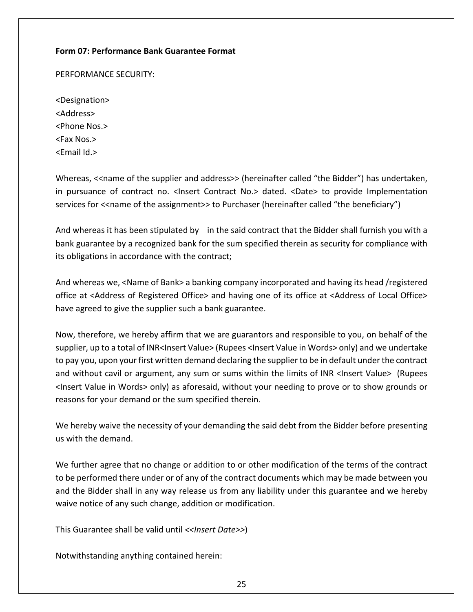#### **Form 07: Performance Bank Guarantee Format**

PERFORMANCE SECURITY:

<Designation> <Address> <Phone Nos.> <Fax Nos.> <Email Id.>

Whereas, << name of the supplier and address>> (hereinafter called "the Bidder") has undertaken, in pursuance of contract no. < Insert Contract No.> dated. < Date> to provide Implementation services for <<name of the assignment>> to Purchaser (hereinafter called "the beneficiary")

And whereas it has been stipulated by in the said contract that the Bidder shall furnish you with a bank guarantee by a recognized bank for the sum specified therein as security for compliance with its obligations in accordance with the contract;

And whereas we, <Name of Bank> a banking company incorporated and having its head /registered office at <Address of Registered Office> and having one of its office at <Address of Local Office> have agreed to give the supplier such a bank guarantee.

Now, therefore, we hereby affirm that we are guarantors and responsible to you, on behalf of the supplier, up to a total of INR<Insert Value> (Rupees <Insert Value in Words> only) and we undertake to pay you, upon your first written demand declaring the supplier to be in default under the contract and without cavil or argument, any sum or sums within the limits of INR <Insert Value> (Rupees <Insert Value in Words> only) as aforesaid, without your needing to prove or to show grounds or reasons for your demand or the sum specified therein.

We hereby waive the necessity of your demanding the said debt from the Bidder before presenting us with the demand.

We further agree that no change or addition to or other modification of the terms of the contract to be performed there under or of any of the contract documents which may be made between you and the Bidder shall in any way release us from any liability under this guarantee and we hereby waive notice of any such change, addition or modification.

This Guarantee shall be valid until *<<Insert Date>>*)

Notwithstanding anything contained herein: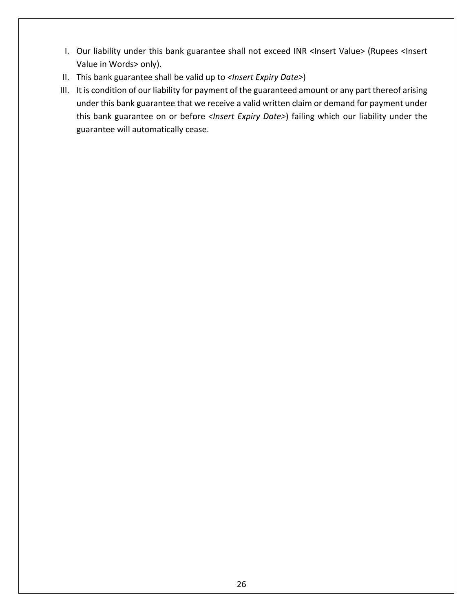- I. Our liability under this bank guarantee shall not exceed INR <Insert Value> (Rupees <Insert Value in Words> only).
- II. This bank guarantee shall be valid up to *<Insert Expiry Date>*)
- III. It is condition of our liability for payment of the guaranteed amount or any part thereof arising under this bank guarantee that we receive a valid written claim or demand for payment under this bank guarantee on or before *<Insert Expiry Date>*) failing which our liability under the guarantee will automatically cease.